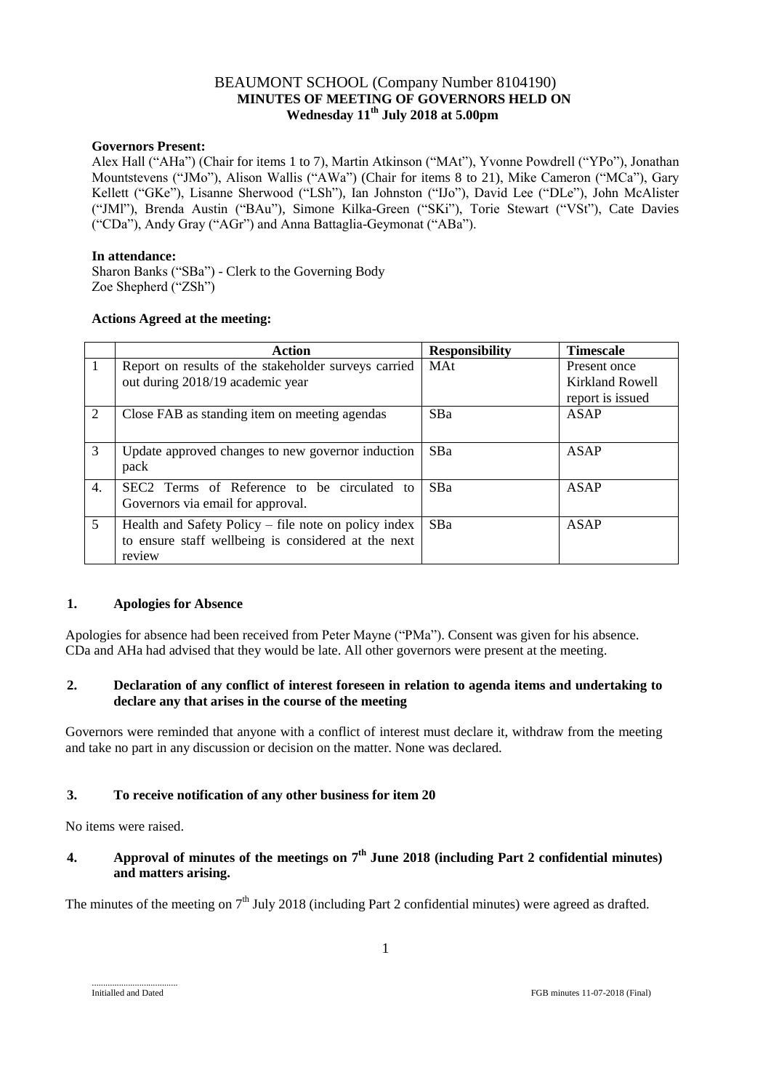# BEAUMONT SCHOOL (Company Number 8104190)  **MINUTES OF MEETING OF GOVERNORS HELD ON Wednesday 11th July 2018 at 5.00pm**

#### **Governors Present:**

Alex Hall ("AHa") (Chair for items 1 to 7), Martin Atkinson ("MAt"), Yvonne Powdrell ("YPo"), Jonathan Mountstevens ("JMo"), Alison Wallis ("AWa") (Chair for items 8 to 21), Mike Cameron ("MCa"), Gary Kellett ("GKe"), Lisanne Sherwood ("LSh"), Ian Johnston ("IJo"), David Lee ("DLe"), John McAlister ("JMl"), Brenda Austin ("BAu"), Simone Kilka-Green ("SKi"), Torie Stewart ("VSt"), Cate Davies ("CDa"), Andy Gray ("AGr") and Anna Battaglia-Geymonat ("ABa").

#### **In attendance:**

Sharon Banks ("SBa") - Clerk to the Governing Body Zoe Shepherd ("ZSh")

## **Actions Agreed at the meeting:**

|                  | Action                                                                                                                | <b>Responsibility</b> | <b>Timescale</b>                                    |
|------------------|-----------------------------------------------------------------------------------------------------------------------|-----------------------|-----------------------------------------------------|
|                  | Report on results of the stakeholder surveys carried<br>out during 2018/19 academic year                              | <b>MAt</b>            | Present once<br>Kirkland Rowell<br>report is issued |
| 2                | Close FAB as standing item on meeting agendas                                                                         | <b>SBa</b>            | ASAP                                                |
| 3                | Update approved changes to new governor induction<br>pack                                                             | <b>SBa</b>            | <b>ASAP</b>                                         |
| $\overline{4}$ . | SEC2 Terms of Reference to be circulated to<br>Governors via email for approval.                                      | <b>SBa</b>            | ASAP                                                |
| 5                | Health and Safety Policy – file note on policy index<br>to ensure staff wellbeing is considered at the next<br>review | <b>SBa</b>            | <b>ASAP</b>                                         |

#### **1. Apologies for Absence**

Apologies for absence had been received from Peter Mayne ("PMa"). Consent was given for his absence. CDa and AHa had advised that they would be late. All other governors were present at the meeting.

## **2. Declaration of any conflict of interest foreseen in relation to agenda items and undertaking to declare any that arises in the course of the meeting**

Governors were reminded that anyone with a conflict of interest must declare it, withdraw from the meeting and take no part in any discussion or decision on the matter. None was declared.

## **3. To receive notification of any other business for item 20**

No items were raised.

# **4. Approval of minutes of the meetings on 7 th June 2018 (including Part 2 confidential minutes) and matters arising.**

The minutes of the meeting on  $7<sup>th</sup>$  July 2018 (including Part 2 confidential minutes) were agreed as drafted.

......................................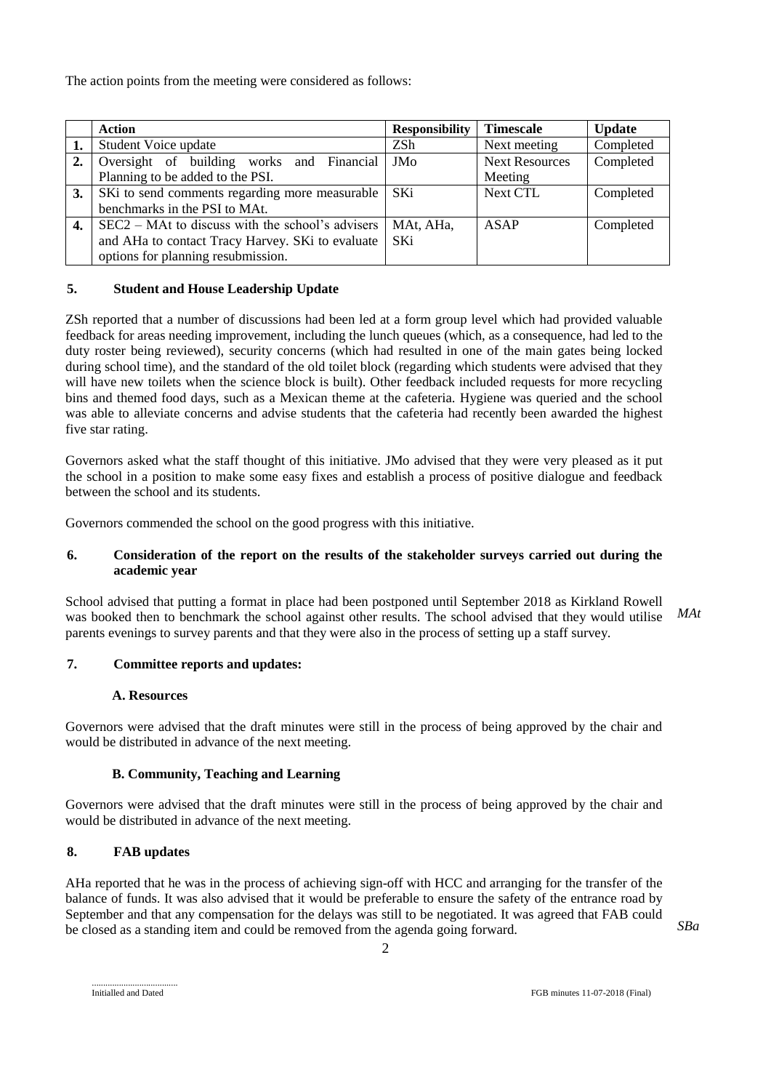The action points from the meeting were considered as follows:

|    | <b>Action</b>                                      | <b>Responsibility</b> | <b>Timescale</b>      | <b>Update</b> |
|----|----------------------------------------------------|-----------------------|-----------------------|---------------|
|    | Student Voice update                               | ZSh                   | Next meeting          | Completed     |
| 2. | Oversight of building works and Financial          | JMo                   | <b>Next Resources</b> | Completed     |
|    | Planning to be added to the PSI.                   |                       | Meeting               |               |
| 3. | SKi to send comments regarding more measurable     | SKi.                  | <b>Next CTL</b>       | Completed     |
|    | benchmarks in the PSI to MAt.                      |                       |                       |               |
| 4. | $SEC2 - Mat$ to discuss with the school's advisers | MAt, AHa,             | ASAP                  | Completed     |
|    | and AHa to contact Tracy Harvey. SKi to evaluate   | <b>SKi</b>            |                       |               |
|    | options for planning resubmission.                 |                       |                       |               |

## **5. Student and House Leadership Update**

ZSh reported that a number of discussions had been led at a form group level which had provided valuable feedback for areas needing improvement, including the lunch queues (which, as a consequence, had led to the duty roster being reviewed), security concerns (which had resulted in one of the main gates being locked during school time), and the standard of the old toilet block (regarding which students were advised that they will have new toilets when the science block is built). Other feedback included requests for more recycling bins and themed food days, such as a Mexican theme at the cafeteria. Hygiene was queried and the school was able to alleviate concerns and advise students that the cafeteria had recently been awarded the highest five star rating.

Governors asked what the staff thought of this initiative. JMo advised that they were very pleased as it put the school in a position to make some easy fixes and establish a process of positive dialogue and feedback between the school and its students.

Governors commended the school on the good progress with this initiative.

## **6. Consideration of the report on the results of the stakeholder surveys carried out during the academic year**

School advised that putting a format in place had been postponed until September 2018 as Kirkland Rowell was booked then to benchmark the school against other results. The school advised that they would utilise parents evenings to survey parents and that they were also in the process of setting up a staff survey. *MAt*

## **7. Committee reports and updates:**

#### **A. Resources**

Governors were advised that the draft minutes were still in the process of being approved by the chair and would be distributed in advance of the next meeting.

## **B. Community, Teaching and Learning**

Governors were advised that the draft minutes were still in the process of being approved by the chair and would be distributed in advance of the next meeting.

## **8. FAB updates**

AHa reported that he was in the process of achieving sign-off with HCC and arranging for the transfer of the balance of funds. It was also advised that it would be preferable to ensure the safety of the entrance road by September and that any compensation for the delays was still to be negotiated. It was agreed that FAB could be closed as a standing item and could be removed from the agenda going forward.

*SBa*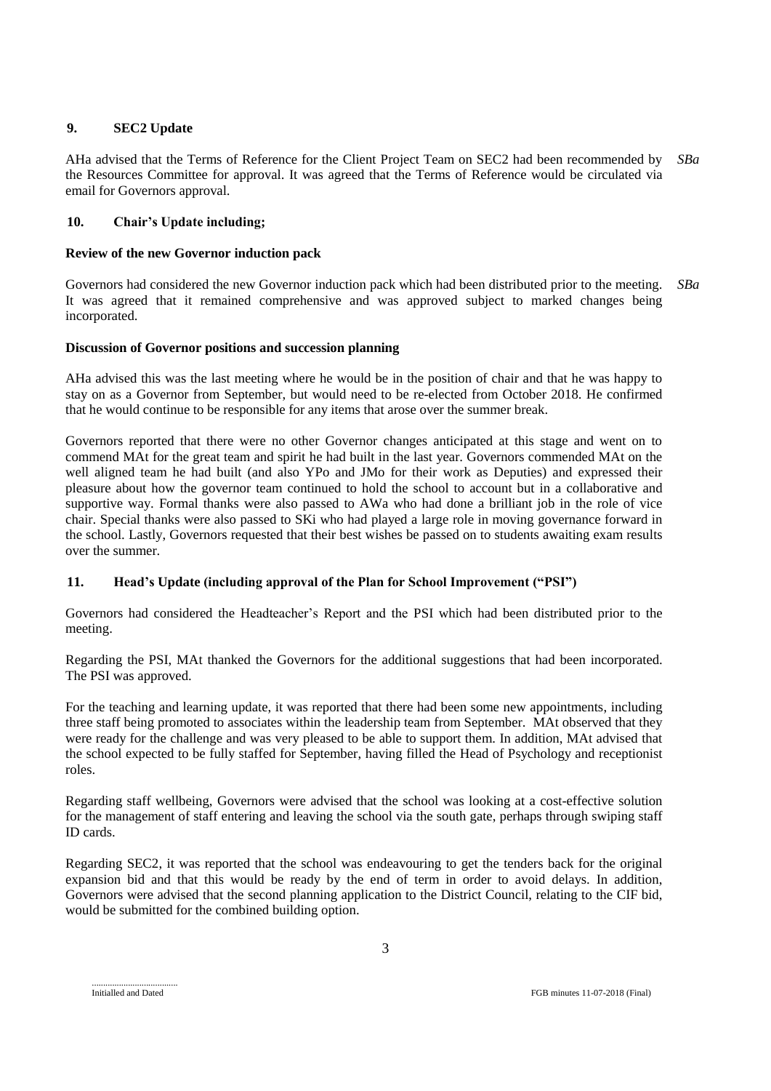# **9. SEC2 Update**

AHa advised that the Terms of Reference for the Client Project Team on SEC2 had been recommended by the Resources Committee for approval. It was agreed that the Terms of Reference would be circulated via email for Governors approval. *SBa*

# **10. Chair's Update including;**

## **Review of the new Governor induction pack**

Governors had considered the new Governor induction pack which had been distributed prior to the meeting. It was agreed that it remained comprehensive and was approved subject to marked changes being incorporated. *SBa*

# **Discussion of Governor positions and succession planning**

AHa advised this was the last meeting where he would be in the position of chair and that he was happy to stay on as a Governor from September, but would need to be re-elected from October 2018. He confirmed that he would continue to be responsible for any items that arose over the summer break.

Governors reported that there were no other Governor changes anticipated at this stage and went on to commend MAt for the great team and spirit he had built in the last year. Governors commended MAt on the well aligned team he had built (and also YPo and JMo for their work as Deputies) and expressed their pleasure about how the governor team continued to hold the school to account but in a collaborative and supportive way. Formal thanks were also passed to AWa who had done a brilliant job in the role of vice chair. Special thanks were also passed to SKi who had played a large role in moving governance forward in the school. Lastly, Governors requested that their best wishes be passed on to students awaiting exam results over the summer.

## **11. Head's Update (including approval of the Plan for School Improvement ("PSI")**

Governors had considered the Headteacher's Report and the PSI which had been distributed prior to the meeting.

Regarding the PSI, MAt thanked the Governors for the additional suggestions that had been incorporated. The PSI was approved.

For the teaching and learning update, it was reported that there had been some new appointments, including three staff being promoted to associates within the leadership team from September. MAt observed that they were ready for the challenge and was very pleased to be able to support them. In addition, MAt advised that the school expected to be fully staffed for September, having filled the Head of Psychology and receptionist roles.

Regarding staff wellbeing, Governors were advised that the school was looking at a cost-effective solution for the management of staff entering and leaving the school via the south gate, perhaps through swiping staff ID cards.

Regarding SEC2, it was reported that the school was endeavouring to get the tenders back for the original expansion bid and that this would be ready by the end of term in order to avoid delays. In addition, Governors were advised that the second planning application to the District Council, relating to the CIF bid, would be submitted for the combined building option.

Initialled and Dated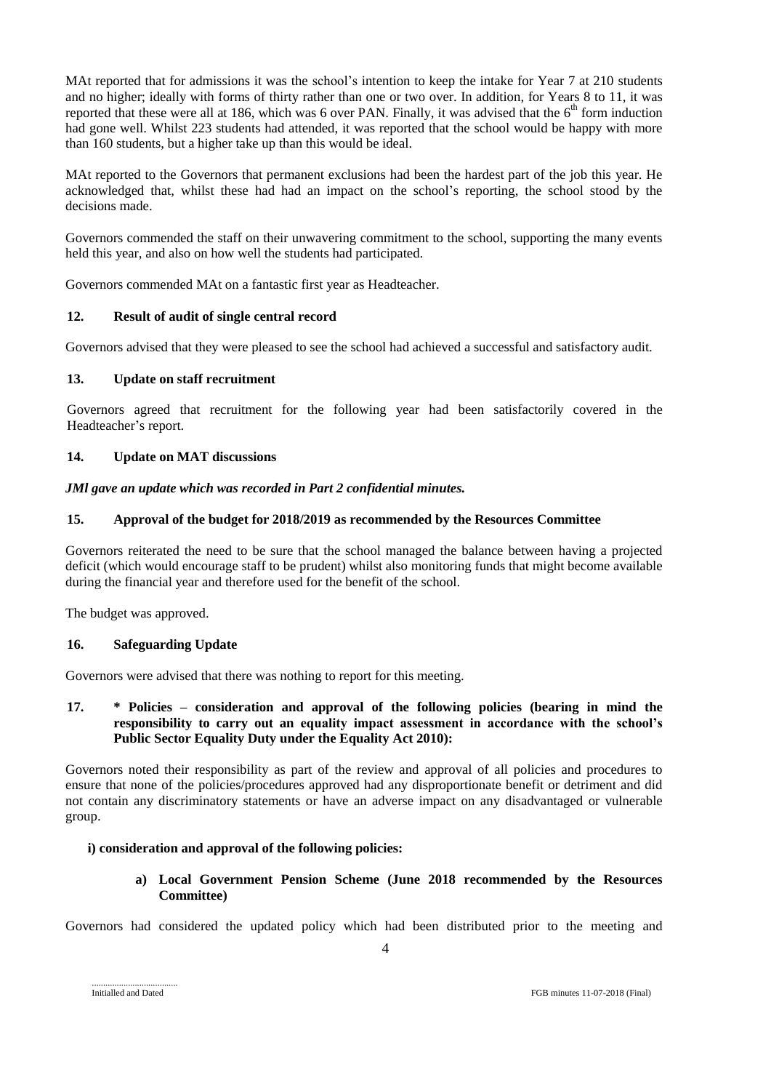MAt reported that for admissions it was the school's intention to keep the intake for Year 7 at 210 students and no higher; ideally with forms of thirty rather than one or two over. In addition, for Years 8 to 11, it was reported that these were all at 186, which was 6 over PAN. Finally, it was advised that the 6<sup>th</sup> form induction had gone well. Whilst 223 students had attended, it was reported that the school would be happy with more than 160 students, but a higher take up than this would be ideal.

MAt reported to the Governors that permanent exclusions had been the hardest part of the job this year. He acknowledged that, whilst these had had an impact on the school's reporting, the school stood by the decisions made.

Governors commended the staff on their unwavering commitment to the school, supporting the many events held this year, and also on how well the students had participated.

Governors commended MAt on a fantastic first year as Headteacher.

## **12. Result of audit of single central record**

Governors advised that they were pleased to see the school had achieved a successful and satisfactory audit.

#### **13. Update on staff recruitment**

Governors agreed that recruitment for the following year had been satisfactorily covered in the Headteacher's report.

#### **14. Update on MAT discussions**

#### *JMl gave an update which was recorded in Part 2 confidential minutes.*

#### **15. Approval of the budget for 2018/2019 as recommended by the Resources Committee**

Governors reiterated the need to be sure that the school managed the balance between having a projected deficit (which would encourage staff to be prudent) whilst also monitoring funds that might become available during the financial year and therefore used for the benefit of the school.

The budget was approved.

#### **16. Safeguarding Update**

Governors were advised that there was nothing to report for this meeting.

#### **17. \* Policies – consideration and approval of the following policies (bearing in mind the responsibility to carry out an equality impact assessment in accordance with the school's Public Sector Equality Duty under the Equality Act 2010):**

Governors noted their responsibility as part of the review and approval of all policies and procedures to ensure that none of the policies/procedures approved had any disproportionate benefit or detriment and did not contain any discriminatory statements or have an adverse impact on any disadvantaged or vulnerable group.

#### **i) consideration and approval of the following policies:**

**a) Local Government Pension Scheme (June 2018 recommended by the Resources Committee)**

Governors had considered the updated policy which had been distributed prior to the meeting and